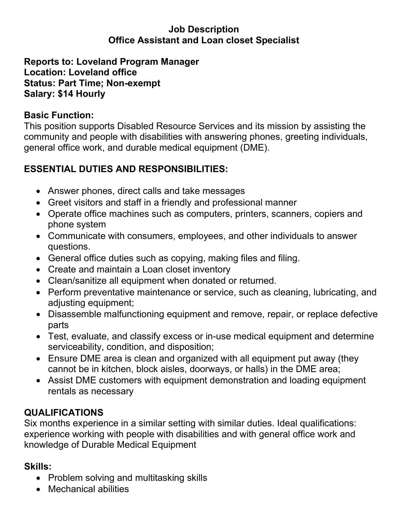#### **Job Description Office Assistant and Loan closet Specialist**

#### **Reports to: Loveland Program Manager Location: Loveland office Status: Part Time; Non-exempt Salary: \$14 Hourly**

## **Basic Function:**

This position supports Disabled Resource Services and its mission by assisting the community and people with disabilities with answering phones, greeting individuals, general office work, and durable medical equipment (DME).

## **ESSENTIAL DUTIES AND RESPONSIBILITIES:**

- Answer phones, direct calls and take messages
- Greet visitors and staff in a friendly and professional manner
- Operate office machines such as computers, printers, scanners, copiers and phone system
- Communicate with consumers, employees, and other individuals to answer questions.
- General office duties such as copying, making files and filing.
- Create and maintain a Loan closet inventory
- Clean/sanitize all equipment when donated or returned.
- Perform preventative maintenance or service, such as cleaning, lubricating, and adjusting equipment;
- Disassemble malfunctioning equipment and remove, repair, or replace defective parts
- Test, evaluate, and classify excess or in-use medical equipment and determine serviceability, condition, and disposition;
- Ensure DME area is clean and organized with all equipment put away (they cannot be in kitchen, block aisles, doorways, or halls) in the DME area;
- Assist DME customers with equipment demonstration and loading equipment rentals as necessary

## **QUALIFICATIONS**

Six months experience in a similar setting with similar duties. Ideal qualifications: experience working with people with disabilities and with general office work and knowledge of Durable Medical Equipment

# **Skills:**

- Problem solving and multitasking skills
- Mechanical abilities